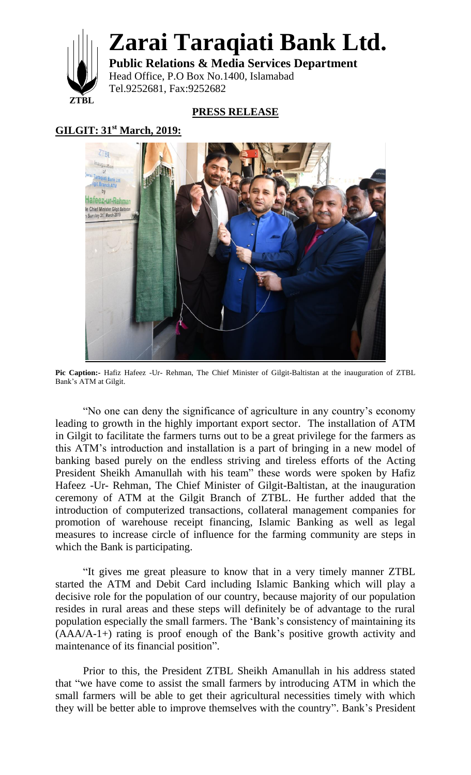

**Zarai Taraqiati Bank Ltd.**

**Public Relations & Media Services Department** Head Office, P.O Box No.1400, Islamabad Tel.9252681, Fax:9252682

## **PRESS RELEASE**

## **GILGIT: 31st March, 2019:**



Pic Caption:- Hafiz Hafeez -Ur- Rehman, The Chief Minister of Gilgit-Baltistan at the inauguration of ZTBL Bank"s ATM at Gilgit.

"No one can deny the significance of agriculture in any country"s economy leading to growth in the highly important export sector. The installation of ATM in Gilgit to facilitate the farmers turns out to be a great privilege for the farmers as this ATM"s introduction and installation is a part of bringing in a new model of banking based purely on the endless striving and tireless efforts of the Acting President Sheikh Amanullah with his team" these words were spoken by Hafiz Hafeez -Ur- Rehman, The Chief Minister of Gilgit-Baltistan, at the inauguration ceremony of ATM at the Gilgit Branch of ZTBL. He further added that the introduction of computerized transactions, collateral management companies for promotion of warehouse receipt financing, Islamic Banking as well as legal measures to increase circle of influence for the farming community are steps in which the Bank is participating.

"It gives me great pleasure to know that in a very timely manner ZTBL started the ATM and Debit Card including Islamic Banking which will play a decisive role for the population of our country, because majority of our population resides in rural areas and these steps will definitely be of advantage to the rural population especially the small farmers. The "Bank"s consistency of maintaining its (AAA/A-1+) rating is proof enough of the Bank"s positive growth activity and maintenance of its financial position".

Prior to this, the President ZTBL Sheikh Amanullah in his address stated that "we have come to assist the small farmers by introducing ATM in which the small farmers will be able to get their agricultural necessities timely with which they will be better able to improve themselves with the country". Bank"s President